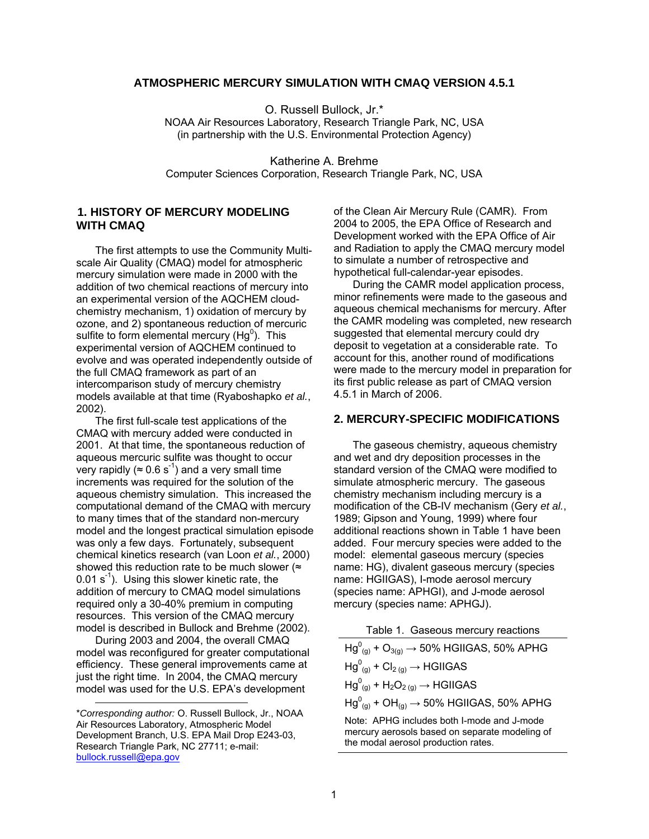## **ATMOSPHERIC MERCURY SIMULATION WITH CMAQ VERSION 4.5.1**

O. Russell Bullock, Jr.\* NOAA Air Resources Laboratory, Research Triangle Park, NC, USA (in partnership with the U.S. Environmental Protection Agency)

Katherine A. Brehme Computer Sciences Corporation, Research Triangle Park, NC, USA

## **1. HISTORY OF MERCURY MODELING WITH CMAQ**

The first attempts to use the Community Multiscale Air Quality (CMAQ) model for atmospheric mercury simulation were made in 2000 with the addition of two chemical reactions of mercury into an experimental version of the AQCHEM cloudchemistry mechanism, 1) oxidation of mercury by ozone, and 2) spontaneous reduction of mercuric sulfite to form elemental mercury (Hg $^0$ ). This experimental version of AQCHEM continued to evolve and was operated independently outside of the full CMAQ framework as part of an intercomparison study of mercury chemistry models available at that time (Ryaboshapko *et al.*, 2002).

The first full-scale test applications of the CMAQ with mercury added were conducted in 2001. At that time, the spontaneous reduction of aqueous mercuric sulfite was thought to occur very rapidly ( $\approx 0.6 \text{ s}^{-1}$ ) and a very small time increments was required for the solution of the aqueous chemistry simulation. This increased the computational demand of the CMAQ with mercury to many times that of the standard non-mercury model and the longest practical simulation episode was only a few days. Fortunately, subsequent chemical kinetics research (van Loon *et al.*, 2000) showed this reduction rate to be much slower ( $\approx$  $0.01$  s<sup>-1</sup>). Using this slower kinetic rate, the addition of mercury to CMAQ model simulations required only a 30-40% premium in computing resources. This version of the CMAQ mercury model is described in Bullock and Brehme (2002).

During 2003 and 2004, the overall CMAQ model was reconfigured for greater computational efficiency. These general improvements came at just the right time. In 2004, the CMAQ mercury model was used for the U.S. EPA's development

l

of the Clean Air Mercury Rule (CAMR). From 2004 to 2005, the EPA Office of Research and Development worked with the EPA Office of Air and Radiation to apply the CMAQ mercury model to simulate a number of retrospective and hypothetical full-calendar-year episodes.

During the CAMR model application process, minor refinements were made to the gaseous and aqueous chemical mechanisms for mercury. After the CAMR modeling was completed, new research suggested that elemental mercury could dry deposit to vegetation at a considerable rate. To account for this, another round of modifications were made to the mercury model in preparation for its first public release as part of CMAQ version 4.5.1 in March of 2006.

# **2. MERCURY-SPECIFIC MODIFICATIONS**

The gaseous chemistry, aqueous chemistry and wet and dry deposition processes in the standard version of the CMAQ were modified to simulate atmospheric mercury. The gaseous chemistry mechanism including mercury is a modification of the CB-IV mechanism (Gery *et al.*, 1989; Gipson and Young, 1999) where four additional reactions shown in Table 1 have been added. Four mercury species were added to the model: elemental gaseous mercury (species name: HG), divalent gaseous mercury (species name: HGIIGAS), I-mode aerosol mercury (species name: APHGI), and J-mode aerosol mercury (species name: APHGJ).

| Table 1. Gaseous mercury reactions |
|------------------------------------|
|                                    |

| $Hg^0_{(q)}$ + O <sub>3(g)</sub> $\rightarrow$ 50% HGIIGAS, 50% APHG |
|----------------------------------------------------------------------|
| $Hg_{(q)}^0$ + Cl <sub>2 (g)</sub> $\rightarrow$ HGIIGAS             |
| $Hg_{(q)}^0$ + $H_2O_{2(q)} \rightarrow HGIIGAS$                     |
| $Hg^0_{(q)}$ + OH $_{(q)} \rightarrow$ 50% HGIIGAS, 50% APHG         |
| Note: APHG includes both I-mode and J-mode                           |

mercury aerosols based on separate modeling of the modal aerosol production rates.

<sup>\*</sup>*Corresponding author:* O. Russell Bullock, Jr., NOAA Air Resources Laboratory, Atmospheric Model Development Branch, U.S. EPA Mail Drop E243-03, Research Triangle Park, NC 27711; e-mail: [bullock.russell@epa.gov](mailto:bullock.russell@epa.gov)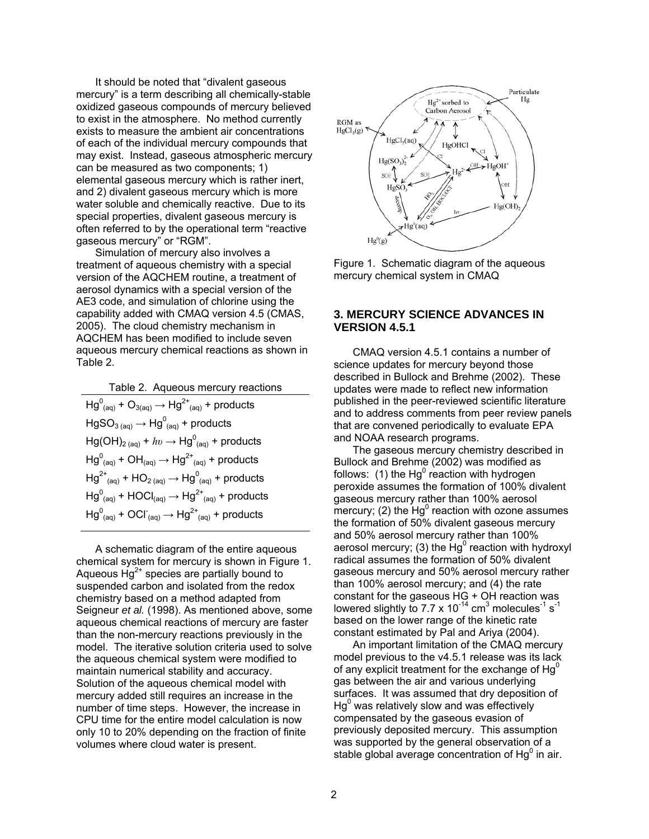It should be noted that "divalent gaseous mercury" is a term describing all chemically-stable oxidized gaseous compounds of mercury believed to exist in the atmosphere. No method currently exists to measure the ambient air concentrations of each of the individual mercury compounds that may exist. Instead, gaseous atmospheric mercury can be measured as two components; 1) elemental gaseous mercury which is rather inert, and 2) divalent gaseous mercury which is more water soluble and chemically reactive. Due to its special properties, divalent gaseous mercury is often referred to by the operational term "reactive gaseous mercury" or "RGM".

Simulation of mercury also involves a treatment of aqueous chemistry with a special version of the AQCHEM routine, a treatment of aerosol dynamics with a special version of the AE3 code, and simulation of chlorine using the capability added with CMAQ version 4.5 (CMAS, 2005). The cloud chemistry mechanism in AQCHEM has been modified to include seven aqueous mercury chemical reactions as shown in Table 2.

Table 2. Aqueous mercury reactions  $Hg_{(aq)}^0 + O_{3(aq)} \rightarrow Hg^{2+}_{(aq)} +$  products  $HgSO_{3\ (aq)}\rightarrow Hg_{\ (aq)}^0$  + products  $Hg(OH)_{2\ (aq)}$  +  $hv \rightarrow Hg^{0}_{(aq)}$  + products  $Hg_{(aq)}^0$  + OH $_{(aq)} \rightarrow Hg_{(aq)}^2$  + products  $Hg^{2+}$ <sub>(aq)</sub> + HO<sub>2 (aq)</sub> → Hg<sup>0</sup><sub>(aq)</sub> + products  $\overline{Hg}^{0}_{(aq)}$  +  $\overline{HOCI}_{(aq)} \rightarrow \overline{Hg}^{2+}_{(aq)}$  + products  $Hg^0_{(aq)}$  + OCl<sup>-</sup>(<sub>aq)</sub> →  $Hg^{2+}_{(aq)}$  + products

A schematic diagram of the entire aqueous chemical system for mercury is shown in Figure 1. Aqueous  $Hg^{2+}$  species are partially bound to suspended carbon and isolated from the redox chemistry based on a method adapted from Seigneur *et al.* (1998). As mentioned above, some aqueous chemical reactions of mercury are faster than the non-mercury reactions previously in the model. The iterative solution criteria used to solve the aqueous chemical system were modified to maintain numerical stability and accuracy. Solution of the aqueous chemical model with mercury added still requires an increase in the number of time steps. However, the increase in CPU time for the entire model calculation is now only 10 to 20% depending on the fraction of finite volumes where cloud water is present.



Figure 1. Schematic diagram of the aqueous mercury chemical system in CMAQ

## **3. MERCURY SCIENCE ADVANCES IN VERSION 4.5.1**

CMAQ version 4.5.1 contains a number of science updates for mercury beyond those described in Bullock and Brehme (2002). These updates were made to reflect new information published in the peer-reviewed scientific literature and to address comments from peer review panels that are convened periodically to evaluate EPA and NOAA research programs.

The gaseous mercury chemistry described in Bullock and Brehme (2002) was modified as follows: (1) the Hg<sup>0</sup> reaction with hydrogen peroxide assumes the formation of 100% divalent gaseous mercury rather than 100% aerosol mercury; (2) the  $Hg^0$  reaction with ozone assumes the formation of 50% divalent gaseous mercury and 50% aerosol mercury rather than 100% aerosol mercury; (3) the  $Hg^0$  reaction with hydroxyl radical assumes the formation of 50% divalent gaseous mercury and 50% aerosol mercury rather than 100% aerosol mercury; and (4) the rate constant for the gaseous HG + OH reaction was lowered slightly to 7.7 x 10<sup>-14</sup> cm<sup>3</sup> molecules<sup>-1</sup> s<sup>-1</sup> based on the lower range of the kinetic rate constant estimated by Pal and Ariya (2004).

An important limitation of the CMAQ mercury model previous to the v4.5.1 release was its lack of any explicit treatment for the exchange of  $Hg^0$ gas between the air and various underlying surfaces. It was assumed that dry deposition of  $Hg^0$  was relatively slow and was effectively compensated by the gaseous evasion of previously deposited mercury. This assumption was supported by the general observation of a stable global average concentration of  $Hg^0$  in air.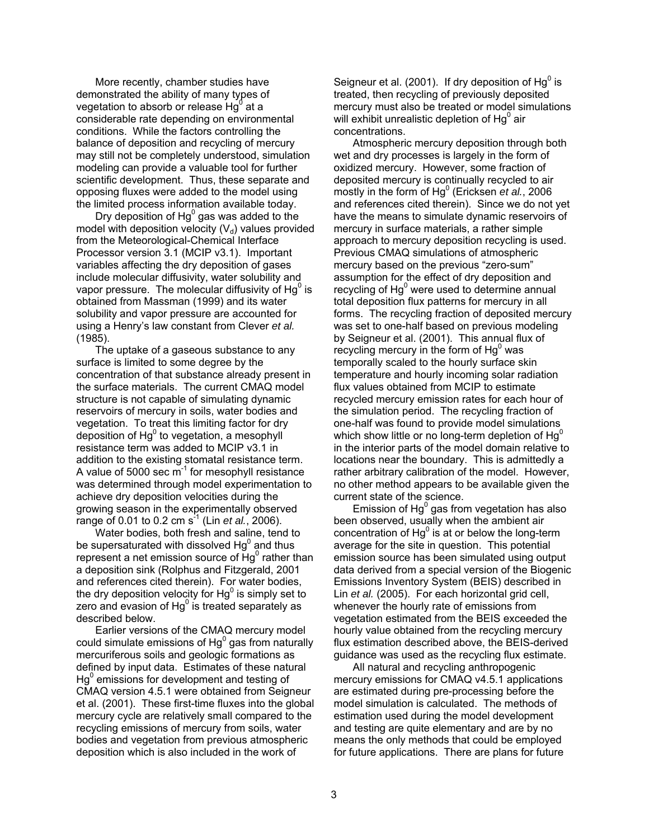More recently, chamber studies have demonstrated the ability of many types of vegetation to absorb or release  $Hg^0$  at a considerable rate depending on environmental conditions. While the factors controlling the balance of deposition and recycling of mercury may still not be completely understood, simulation modeling can provide a valuable tool for further scientific development. Thus, these separate and opposing fluxes were added to the model using the limited process information available today.

Dry deposition of  $Hg^0$  gas was added to the model with deposition velocity  $(V_d)$  values provided from the Meteorological-Chemical Interface Processor version 3.1 (MCIP v3.1). Important variables affecting the dry deposition of gases include molecular diffusivity, water solubility and vapor pressure. The molecular diffusivity of Hg $^0$  is obtained from Massman (1999) and its water solubility and vapor pressure are accounted for using a Henry's law constant from Clever *et al.* (1985).

The uptake of a gaseous substance to any surface is limited to some degree by the concentration of that substance already present in the surface materials. The current CMAQ model structure is not capable of simulating dynamic reservoirs of mercury in soils, water bodies and vegetation. To treat this limiting factor for dry deposition of Hg $^0$  to vegetation, a mesophyll resistance term was added to MCIP v3.1 in addition to the existing stomatal resistance term. A value of 5000 sec  $m<sup>-1</sup>$  for mesophyll resistance was determined through model experimentation to achieve dry deposition velocities during the growing season in the experimentally observed range of 0.01 to 0.2 cm  $s^{-1}$  (Lin *et al.*, 2006).

Water bodies, both fresh and saline, tend to be supersaturated with dissolved Hg<sup>0</sup> and thus represent a net emission source of  $Hg^0$  rather than a deposition sink (Rolphus and Fitzgerald, 2001 and references cited therein). For water bodies, the dry deposition velocity for Hg $^0$  is simply set to zero and evasion of Hg $^0$  is treated separately as described below.

Earlier versions of the CMAQ mercury model could simulate emissions of Hg $^0$  gas from naturally mercuriferous soils and geologic formations as defined by input data. Estimates of these natural  $Hg<sup>0</sup>$  emissions for development and testing of CMAQ version 4.5.1 were obtained from Seigneur et al. (2001). These first-time fluxes into the global mercury cycle are relatively small compared to the recycling emissions of mercury from soils, water bodies and vegetation from previous atmospheric deposition which is also included in the work of

Seigneur et al. (2001). If dry deposition of Hg $^0$  is treated, then recycling of previously deposited mercury must also be treated or model simulations will exhibit unrealistic depletion of Hg $^0$  air concentrations.

Atmospheric mercury deposition through both wet and dry processes is largely in the form of oxidized mercury. However, some fraction of deposited mercury is continually recycled to air mostly in the form of Hg<sup>0</sup> (Ericksen *et al.*, 2006 and references cited therein). Since we do not yet have the means to simulate dynamic reservoirs of mercury in surface materials, a rather simple approach to mercury deposition recycling is used. Previous CMAQ simulations of atmospheric mercury based on the previous "zero-sum" assumption for the effect of dry deposition and recycling of  $Hg^0$  were used to determine annual total deposition flux patterns for mercury in all forms. The recycling fraction of deposited mercury was set to one-half based on previous modeling by Seigneur et al. (2001). This annual flux of recycling mercury in the form of  $Hg^0$  was temporally scaled to the hourly surface skin temperature and hourly incoming solar radiation flux values obtained from MCIP to estimate recycled mercury emission rates for each hour of the simulation period. The recycling fraction of one-half was found to provide model simulations which show little or no long-term depletion of  $Hg'$ in the interior parts of the model domain relative to locations near the boundary. This is admittedly a rather arbitrary calibration of the model. However, no other method appears to be available given the current state of the science.

Emission of Hg $^0$  gas from vegetation has also been observed, usually when the ambient air concentration of Hg<sup>0</sup> is at or below the long-term average for the site in question. This potential emission source has been simulated using output data derived from a special version of the Biogenic Emissions Inventory System (BEIS) described in Lin *et al.* (2005). For each horizontal grid cell, whenever the hourly rate of emissions from vegetation estimated from the BEIS exceeded the hourly value obtained from the recycling mercury flux estimation described above, the BEIS-derived guidance was used as the recycling flux estimate.

All natural and recycling anthropogenic mercury emissions for CMAQ v4.5.1 applications are estimated during pre-processing before the model simulation is calculated. The methods of estimation used during the model development and testing are quite elementary and are by no means the only methods that could be employed for future applications. There are plans for future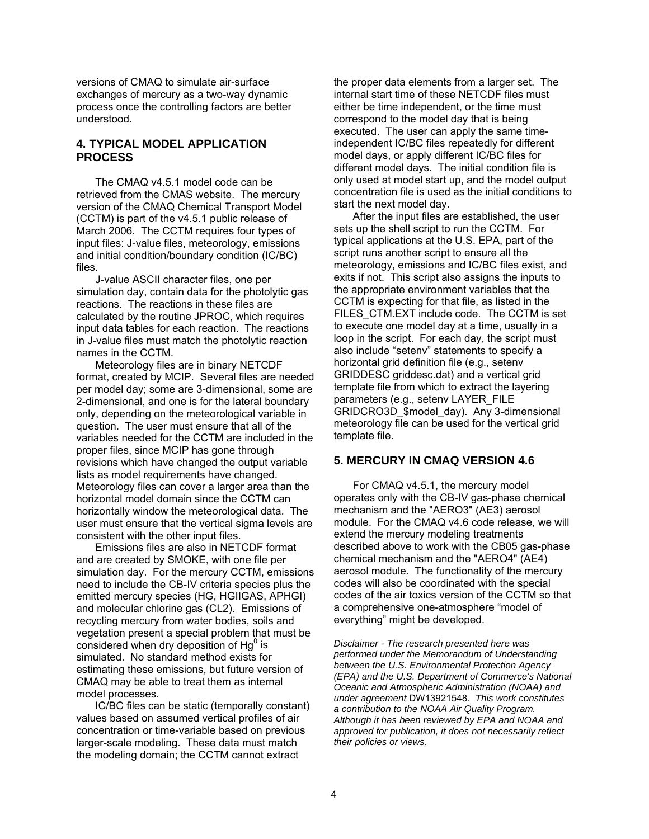versions of CMAQ to simulate air-surface exchanges of mercury as a two-way dynamic process once the controlling factors are better understood.

#### **4. TYPICAL MODEL APPLICATION PROCESS**

The CMAQ v4.5.1 model code can be retrieved from the CMAS website. The mercury version of the CMAQ Chemical Transport Model (CCTM) is part of the v4.5.1 public release of March 2006. The CCTM requires four types of input files: J-value files, meteorology, emissions and initial condition/boundary condition (IC/BC) files.

J-value ASCII character files, one per simulation day, contain data for the photolytic gas reactions. The reactions in these files are calculated by the routine JPROC, which requires input data tables for each reaction. The reactions in J-value files must match the photolytic reaction names in the CCTM.

Meteorology files are in binary NETCDF format, created by MCIP. Several files are needed per model day; some are 3-dimensional, some are 2-dimensional, and one is for the lateral boundary only, depending on the meteorological variable in question. The user must ensure that all of the variables needed for the CCTM are included in the proper files, since MCIP has gone through revisions which have changed the output variable lists as model requirements have changed. Meteorology files can cover a larger area than the horizontal model domain since the CCTM can horizontally window the meteorological data. The user must ensure that the vertical sigma levels are consistent with the other input files.

Emissions files are also in NETCDF format and are created by SMOKE, with one file per simulation day. For the mercury CCTM, emissions need to include the CB-IV criteria species plus the emitted mercury species (HG, HGIIGAS, APHGI) and molecular chlorine gas (CL2). Emissions of recycling mercury from water bodies, soils and vegetation present a special problem that must be considered when dry deposition of  $Hg^0$  is simulated. No standard method exists for estimating these emissions, but future version of CMAQ may be able to treat them as internal model processes.

IC/BC files can be static (temporally constant) values based on assumed vertical profiles of air concentration or time-variable based on previous larger-scale modeling. These data must match the modeling domain; the CCTM cannot extract

the proper data elements from a larger set. The internal start time of these NETCDF files must either be time independent, or the time must correspond to the model day that is being executed. The user can apply the same timeindependent IC/BC files repeatedly for different model days, or apply different IC/BC files for different model days. The initial condition file is only used at model start up, and the model output concentration file is used as the initial conditions to start the next model day.

After the input files are established, the user sets up the shell script to run the CCTM. For typical applications at the U.S. EPA, part of the script runs another script to ensure all the meteorology, emissions and IC/BC files exist, and exits if not. This script also assigns the inputs to the appropriate environment variables that the CCTM is expecting for that file, as listed in the FILES CTM.EXT include code. The CCTM is set to execute one model day at a time, usually in a loop in the script. For each day, the script must also include "setenv" statements to specify a horizontal grid definition file (e.g., setenv GRIDDESC griddesc.dat) and a vertical grid template file from which to extract the layering parameters (e.g., setenv LAYER\_FILE GRIDCRO3D\_\$model\_day). Any 3-dimensional meteorology file can be used for the vertical grid template file.

## **5. MERCURY IN CMAQ VERSION 4.6**

For CMAQ v4.5.1, the mercury model operates only with the CB-IV gas-phase chemical mechanism and the "AERO3" (AE3) aerosol module. For the CMAQ v4.6 code release, we will extend the mercury modeling treatments described above to work with the CB05 gas-phase chemical mechanism and the "AERO4" (AE4) aerosol module. The functionality of the mercury codes will also be coordinated with the special codes of the air toxics version of the CCTM so that a comprehensive one-atmosphere "model of everything" might be developed.

*Disclaimer - The research presented here was performed under the Memorandum of Understanding between the U.S. Environmental Protection Agency (EPA) and the U.S. Department of Commerce's National Oceanic and Atmospheric Administration (NOAA) and under agreement* DW13921548*. This work constitutes a contribution to the NOAA Air Quality Program. Although it has been reviewed by EPA and NOAA and approved for publication, it does not necessarily reflect their policies or views.*